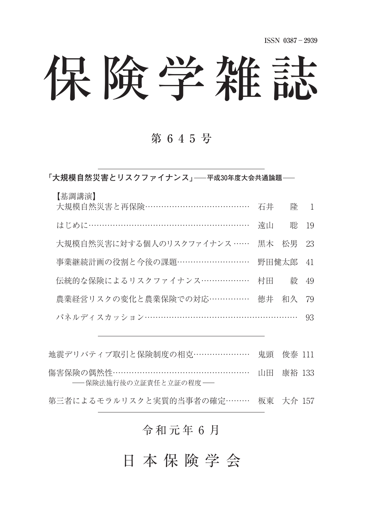# 保険学雑誌

## 第 6 4 5 号

**⽛大規模自然災害とリスクファイナンス⽜ 平成30年度大会共通論題**

| ま調講演】 |
|-------|
|-------|

| 大規模自然災害と再保険……………………………… 石井 隆 1      |    |          |      |
|-------------------------------------|----|----------|------|
| はじめに…………………………………………………             | 遠山 |          | 聡 19 |
| 大規模自然災害に対する個人のリスクファイナンス …… 黒木 松男 23 |    |          |      |
| 事業継続計画の役割と今後の課題………………………            |    | 野田健太郎 41 |      |
| 伝統的な保険によるリスクファイナンス……………… 村田         |    | 毅 49     |      |
| 農業経営リスクの変化と農業保険での対応…………… 徳井 和久 79   |    |          |      |
| パネルディスカッション………………………………………………       |    |          | - 93 |

地震デリバティブ取引と保険制度の相克………………… 鬼頭 俊泰 111

傷害保険の偶然性 ………………………………………………… 山田 康裕 133 -- 保険法施行後の立証責任と立証の程度 --

第三者によるモラルリスクと実質的当事者の確定……… 板東 大介 157

### 令和元年6月

日 本 保 険 学 会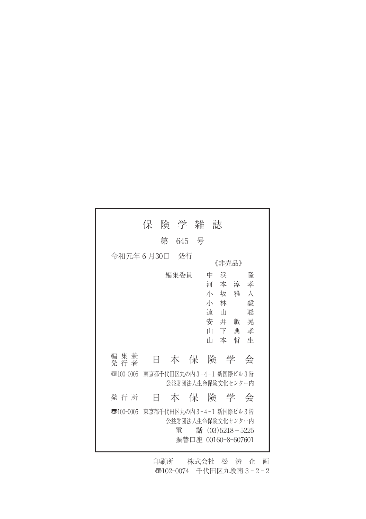|                        | 保 |   | 険 学 雑                                             |                     | 誌                            |                                                           |             |                                              |
|------------------------|---|---|---------------------------------------------------|---------------------|------------------------------|-----------------------------------------------------------|-------------|----------------------------------------------|
|                        |   | 第 | 645 号                                             |                     |                              |                                                           |             |                                              |
| 令和元年6月30日              |   |   | - 発行                                              |                     |                              | 《非壳品》                                                     |             |                                              |
|                        |   |   | 編集委員                                              |                     | 中<br>河<br>小 林<br>遠<br>Ш<br>Ш | 浜<br>あんしゃ 本の淳 いんじょう こうしょう<br>小坂雅<br>- 11<br>安 井<br>下<br>本 | 敏<br>典<br>哲 | 隆<br>孝<br>$\lambda$<br>毅<br>聡<br>晃<br>孝<br>牛 |
| 編 集 兼<br>発 行 者         |   |   | 本 保 険 学                                           |                     |                              |                                                           |             | 会                                            |
| $\overline{3}100-0005$ |   |   | 東京都千代田区丸の内3-4-1 新国際ビル3階<br>公益財団法人生命保険文化センター内      |                     |                              |                                                           |             |                                              |
| 発 行 所                  | H |   | 本 保 除 学 会                                         |                     |                              |                                                           |             |                                              |
| $\overline{3}100-0005$ |   |   | 東京都千代田区丸の内3-4-1 新国際ビル3階<br>公益財団法人生命保険文化センター内<br>雷 | 振替口座 00160-8-607601 | 話 $(03)5218 - 5225$          |                                                           |             |                                              |

印刷所 株式会社 松 涛 企 画 〠102-0074 千代田区九段南 3 - 2 - 2